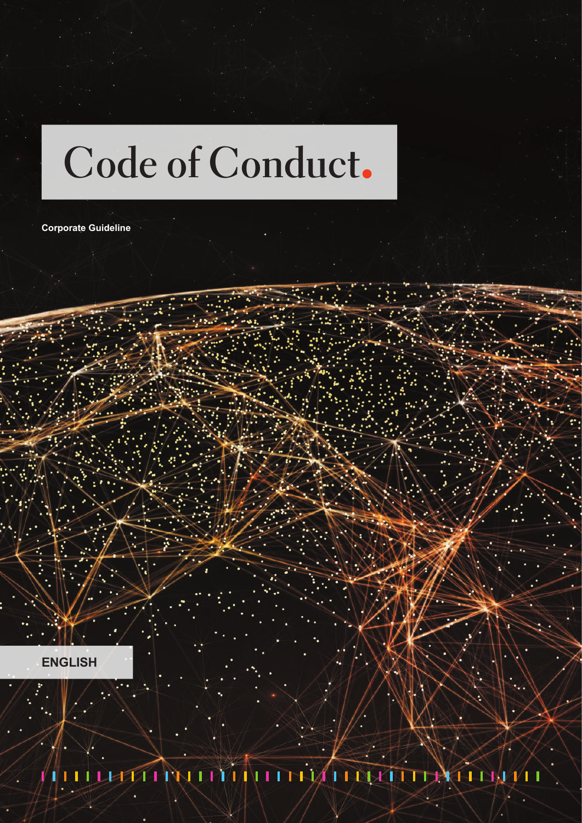# **Code of Conduct**

**Corporate Guideline**

**ENGLISH**

THINI THIATHAT **EXTERNATION** T 41 QT. \I I T 1 T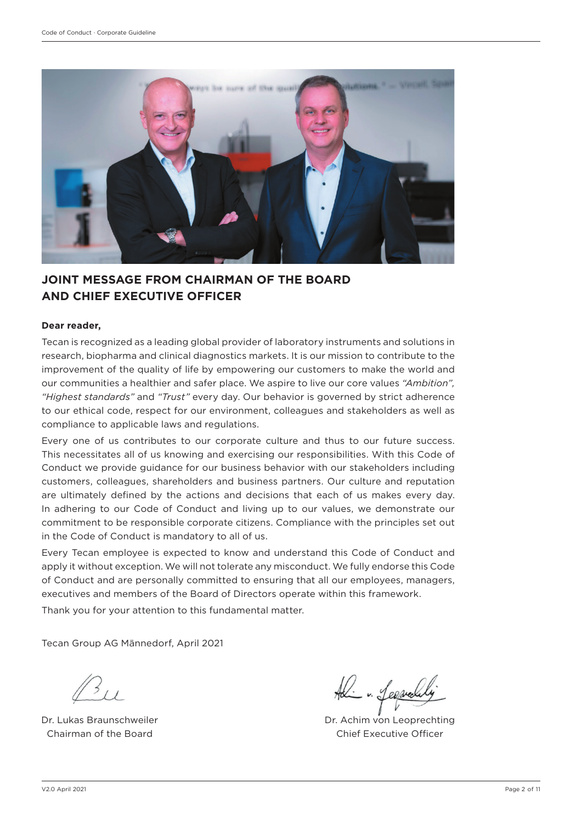

# **JOINT MESSAGE FROM CHAIRMAN OF THE BOARD AND CHIEF EXECUTIVE OFFICER**

#### **Dear reader,**

Tecan is recognized as a leading global provider of laboratory instruments and solutions in research, biopharma and clinical diagnostics markets. It is our mission to contribute to the improvement of the quality of life by empowering our customers to make the world and our communities a healthier and safer place. We aspire to live our core values *"Ambition", "Highest standards"* and *"Trust"* every day. Our behavior is governed by strict adherence to our ethical code, respect for our environment, colleagues and stakeholders as well as compliance to applicable laws and regulations.

Every one of us contributes to our corporate culture and thus to our future success. This necessitates all of us knowing and exercising our responsibilities. With this Code of Conduct we provide guidance for our business behavior with our stakeholders including customers, colleagues, shareholders and business partners. Our culture and reputation are ultimately defined by the actions and decisions that each of us makes every day. In adhering to our Code of Conduct and living up to our values, we demonstrate our commitment to be responsible corporate citizens. Compliance with the principles set out in the Code of Conduct is mandatory to all of us.

Every Tecan employee is expected to know and understand this Code of Conduct and apply it without exception. We will not tolerate any misconduct. We fully endorse this Code of Conduct and are personally committed to ensuring that all our employees, managers, executives and members of the Board of Directors operate within this framework.

Thank you for your attention to this fundamental matter.

Tecan Group AG Männedorf, April 2021

Dr. Lukas Braunschweiler Chairman of the Board

- Lesprede

Dr. Achim von Leoprechting Chief Executive Officer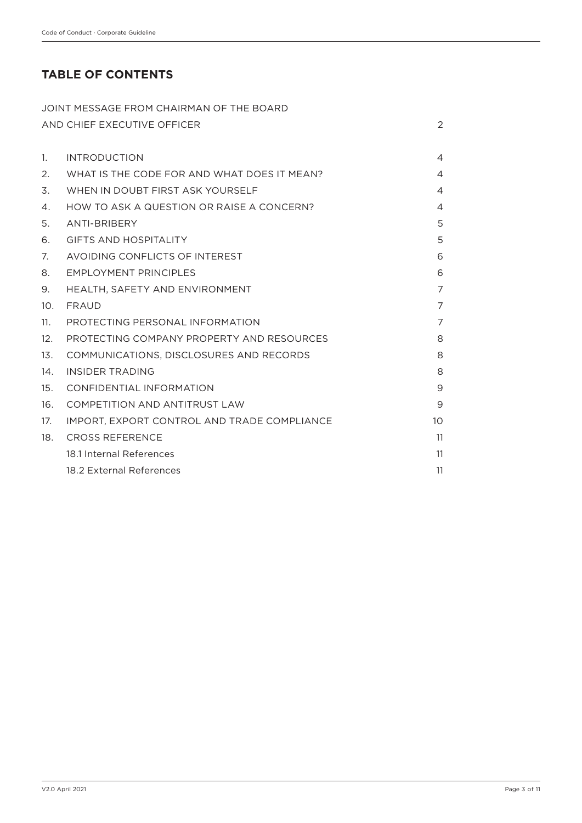# **TABLE OF CONTENTS**

|     | JOINT MESSAGE FROM CHAIRMAN OF THE BOARD    |                |
|-----|---------------------------------------------|----------------|
|     | AND CHIEF EXECUTIVE OFFICER                 | $\overline{2}$ |
| 1.  | <b>INTRODUCTION</b>                         | 4              |
| 2.  | WHAT IS THE CODE FOR AND WHAT DOES IT MEAN? | $\overline{4}$ |
| 3.  | WHEN IN DOUBT FIRST ASK YOURSELF            | 4              |
| 4.  | HOW TO ASK A QUESTION OR RAISE A CONCERN?   | $\overline{4}$ |
| 5.  | <b>ANTI-BRIBERY</b>                         | 5              |
| 6.  | <b>GIFTS AND HOSPITALITY</b>                | 5              |
| 7.  | AVOIDING CONFLICTS OF INTEREST              | 6              |
| 8.  | <b>EMPLOYMENT PRINCIPLES</b>                | 6              |
| 9.  | HEALTH, SAFETY AND ENVIRONMENT              | $\overline{7}$ |
| 10. | <b>FRAUD</b>                                | 7              |
| 11. | PROTECTING PERSONAL INFORMATION             | 7              |
| 12. | PROTECTING COMPANY PROPERTY AND RESOURCES   | 8              |
| 13. | COMMUNICATIONS, DISCLOSURES AND RECORDS     | 8              |
| 14. | <b>INSIDER TRADING</b>                      | 8              |
| 15. | CONFIDENTIAL INFORMATION                    | 9              |
| 16. | COMPETITION AND ANTITRUST LAW               | 9              |
| 17. | IMPORT, EXPORT CONTROL AND TRADE COMPLIANCE | 10             |
| 18. | <b>CROSS REFERENCE</b>                      | 11             |
|     | 18.1 Internal References                    | 11             |
|     | 18.2 External References                    | 11             |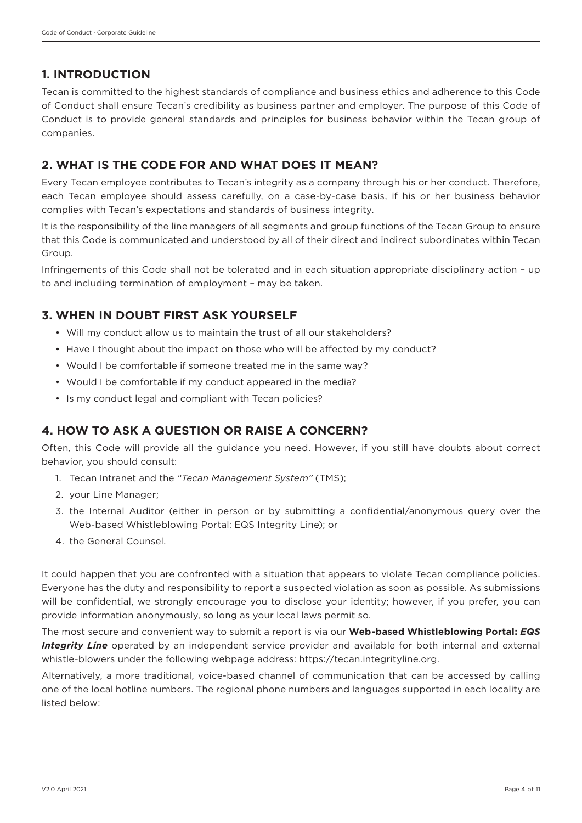# **1. INTRODUCTION**

Tecan is committed to the highest standards of compliance and business ethics and adherence to this Code of Conduct shall ensure Tecan's credibility as business partner and employer. The purpose of this Code of Conduct is to provide general standards and principles for business behavior within the Tecan group of companies.

# **2. WHAT IS THE CODE FOR AND WHAT DOES IT MEAN?**

Every Tecan employee contributes to Tecan's integrity as a company through his or her conduct. Therefore, each Tecan employee should assess carefully, on a case-by-case basis, if his or her business behavior complies with Tecan's expectations and standards of business integrity.

It is the responsibility of the line managers of all segments and group functions of the Tecan Group to ensure that this Code is communicated and understood by all of their direct and indirect subordinates within Tecan Group.

Infringements of this Code shall not be tolerated and in each situation appropriate disciplinary action – up to and including termination of employment – may be taken.

# **3. WHEN IN DOUBT FIRST ASK YOURSELF**

- Will my conduct allow us to maintain the trust of all our stakeholders?
- Have I thought about the impact on those who will be affected by my conduct?
- Would I be comfortable if someone treated me in the same way?
- Would I be comfortable if my conduct appeared in the media?
- Is my conduct legal and compliant with Tecan policies?

## **4. HOW TO ASK A QUESTION OR RAISE A CONCERN?**

Often, this Code will provide all the guidance you need. However, if you still have doubts about correct behavior, you should consult:

- 1. Tecan Intranet and the *"Tecan Management System"* (TMS);
- 2. your Line Manager;
- 3. the Internal Auditor (either in person or by submitting a confidential/anonymous query over the Web-based Whistleblowing Portal: EQS Integrity Line); or
- 4. the General Counsel.

It could happen that you are confronted with a situation that appears to violate Tecan compliance policies. Everyone has the duty and responsibility to report a suspected violation as soon as possible. As submissions will be confidential, we strongly encourage you to disclose your identity; however, if you prefer, you can provide information anonymously, so long as your local laws permit so.

The most secure and convenient way to submit a report is via our **Web-based Whistleblowing Portal:** *EQS*  **Integrity Line** operated by an independent service provider and available for both internal and external whistle-blowers under the following webpage address: https://tecan.integrityline.org.

Alternatively, a more traditional, voice-based channel of communication that can be accessed by calling one of the local hotline numbers. The regional phone numbers and languages supported in each locality are listed below: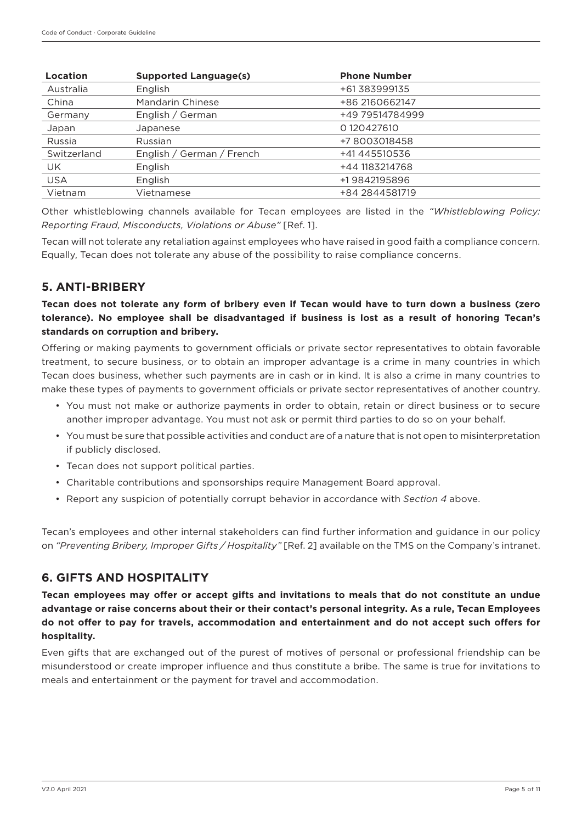| Location    | <b>Supported Language(s)</b> | <b>Phone Number</b> |
|-------------|------------------------------|---------------------|
| Australia   | English                      | +61 383999135       |
| China       | Mandarin Chinese             | +86 2160662147      |
| Germany     | English / German             | +49 79514784999     |
| Japan       | Japanese                     | 0120427610          |
| Russia      | Russian                      | +78003018458        |
| Switzerland | English / German / French    | +41 445510536       |
| UK.         | English                      | +44 1183214768      |
| <b>USA</b>  | English                      | +19842195896        |
| Vietnam     | Vietnamese                   | +84 2844581719      |

Other whistleblowing channels available for Tecan employees are listed in the *"Whistleblowing Policy: Reporting Fraud, Misconducts, Violations or Abuse"* [Ref. 1].

Tecan will not tolerate any retaliation against employees who have raised in good faith a compliance concern. Equally, Tecan does not tolerate any abuse of the possibility to raise compliance concerns.

## **5. ANTI-BRIBERY**

**Tecan does not tolerate any form of bribery even if Tecan would have to turn down a business (zero tolerance). No employee shall be disadvantaged if business is lost as a result of honoring Tecan's standards on corruption and bribery.**

Offering or making payments to government officials or private sector representatives to obtain favorable treatment, to secure business, or to obtain an improper advantage is a crime in many countries in which Tecan does business, whether such payments are in cash or in kind. It is also a crime in many countries to make these types of payments to government officials or private sector representatives of another country.

- You must not make or authorize payments in order to obtain, retain or direct business or to secure another improper advantage. You must not ask or permit third parties to do so on your behalf.
- You must be sure that possible activities and conduct are of a nature that is not open to misinterpretation if publicly disclosed.
- Tecan does not support political parties.
- Charitable contributions and sponsorships require Management Board approval.
- Report any suspicion of potentially corrupt behavior in accordance with *Section 4* above.

Tecan's employees and other internal stakeholders can find further information and guidance in our policy on *"Preventing Bribery, Improper Gifts / Hospitality"* [Ref. 2] available on the TMS on the Company's intranet.

## **6. GIFTS AND HOSPITALITY**

**Tecan employees may offer or accept gifts and invitations to meals that do not constitute an undue advantage or raise concerns about their or their contact's personal integrity. As a rule, Tecan Employees do not offer to pay for travels, accommodation and entertainment and do not accept such offers for hospitality.**

Even gifts that are exchanged out of the purest of motives of personal or professional friendship can be misunderstood or create improper influence and thus constitute a bribe. The same is true for invitations to meals and entertainment or the payment for travel and accommodation.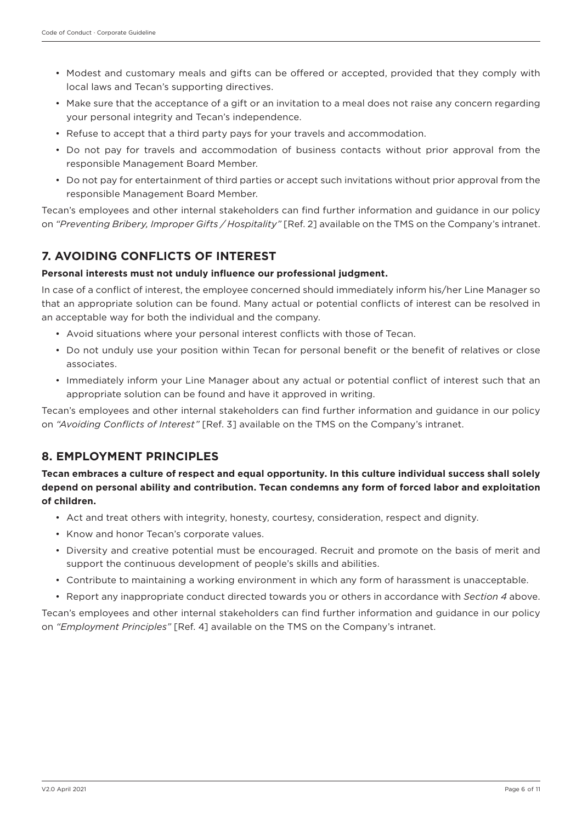- Modest and customary meals and gifts can be offered or accepted, provided that they comply with local laws and Tecan's supporting directives.
- Make sure that the acceptance of a gift or an invitation to a meal does not raise any concern regarding your personal integrity and Tecan's independence.
- Refuse to accept that a third party pays for your travels and accommodation.
- Do not pay for travels and accommodation of business contacts without prior approval from the responsible Management Board Member.
- Do not pay for entertainment of third parties or accept such invitations without prior approval from the responsible Management Board Member.

Tecan's employees and other internal stakeholders can find further information and guidance in our policy on *"Preventing Bribery, Improper Gifts / Hospitality"* [Ref. 2] available on the TMS on the Company's intranet.

# **7. AVOIDING CONFLICTS OF INTEREST**

#### **Personal interests must not unduly influence our professional judgment.**

In case of a conflict of interest, the employee concerned should immediately inform his/her Line Manager so that an appropriate solution can be found. Many actual or potential conflicts of interest can be resolved in an acceptable way for both the individual and the company.

- Avoid situations where your personal interest conflicts with those of Tecan.
- Do not unduly use your position within Tecan for personal benefit or the benefit of relatives or close associates.
- Immediately inform your Line Manager about any actual or potential conflict of interest such that an appropriate solution can be found and have it approved in writing.

Tecan's employees and other internal stakeholders can find further information and guidance in our policy on *"Avoiding Conflicts of Interest"* [Ref. 3] available on the TMS on the Company's intranet.

## **8. EMPLOYMENT PRINCIPLES**

**Tecan embraces a culture of respect and equal opportunity. In this culture individual success shall solely depend on personal ability and contribution. Tecan condemns any form of forced labor and exploitation of children.**

- Act and treat others with integrity, honesty, courtesy, consideration, respect and dignity.
- Know and honor Tecan's corporate values.
- Diversity and creative potential must be encouraged. Recruit and promote on the basis of merit and support the continuous development of people's skills and abilities.
- Contribute to maintaining a working environment in which any form of harassment is unacceptable.
- Report any inappropriate conduct directed towards you or others in accordance with *Section 4* above.

Tecan's employees and other internal stakeholders can find further information and guidance in our policy on *"Employment Principles"* [Ref. 4] available on the TMS on the Company's intranet.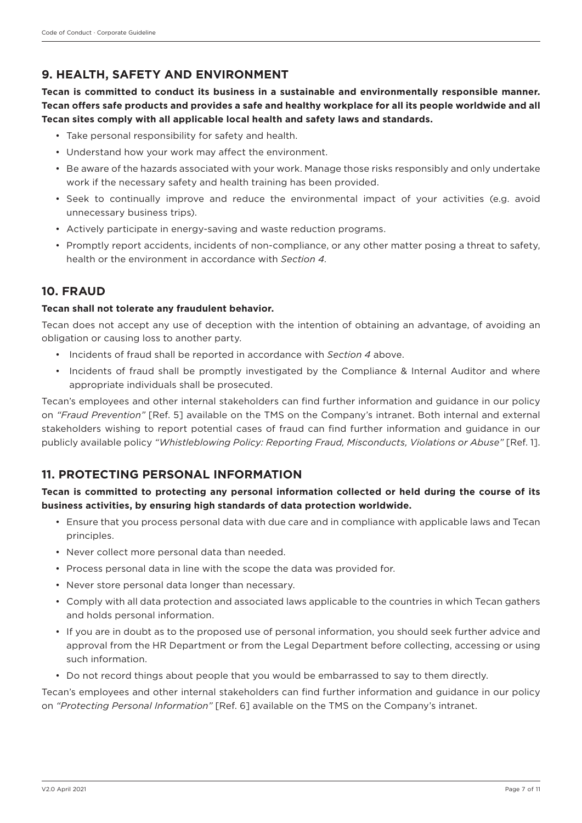# **9. HEALTH, SAFETY AND ENVIRONMENT**

**Tecan is committed to conduct its business in a sustainable and environmentally responsible manner. Tecan offers safe products and provides a safe and healthy workplace for all its people worldwide and all Tecan sites comply with all applicable local health and safety laws and standards.**

- Take personal responsibility for safety and health.
- Understand how your work may affect the environment.
- Be aware of the hazards associated with your work. Manage those risks responsibly and only undertake work if the necessary safety and health training has been provided.
- Seek to continually improve and reduce the environmental impact of your activities (e.g. avoid unnecessary business trips).
- Actively participate in energy-saving and waste reduction programs.
- Promptly report accidents, incidents of non-compliance, or any other matter posing a threat to safety, health or the environment in accordance with *Section 4.*

## **10. FRAUD**

#### **Tecan shall not tolerate any fraudulent behavior.**

Tecan does not accept any use of deception with the intention of obtaining an advantage, of avoiding an obligation or causing loss to another party.

- Incidents of fraud shall be reported in accordance with *Section 4* above.
- Incidents of fraud shall be promptly investigated by the Compliance & Internal Auditor and where appropriate individuals shall be prosecuted.

Tecan's employees and other internal stakeholders can find further information and guidance in our policy on *"Fraud Prevention"* [Ref. 5] available on the TMS on the Company's intranet. Both internal and external stakeholders wishing to report potential cases of fraud can find further information and guidance in our publicly available policy *"Whistleblowing Policy: Reporting Fraud, Misconducts, Violations or Abuse"* [Ref. 1].

## **11. PROTECTING PERSONAL INFORMATION**

## **Tecan is committed to protecting any personal information collected or held during the course of its business activities, by ensuring high standards of data protection worldwide.**

- Ensure that you process personal data with due care and in compliance with applicable laws and Tecan principles.
- Never collect more personal data than needed.
- Process personal data in line with the scope the data was provided for.
- Never store personal data longer than necessary.
- Comply with all data protection and associated laws applicable to the countries in which Tecan gathers and holds personal information.
- If you are in doubt as to the proposed use of personal information, you should seek further advice and approval from the HR Department or from the Legal Department before collecting, accessing or using such information.
- Do not record things about people that you would be embarrassed to say to them directly.

Tecan's employees and other internal stakeholders can find further information and guidance in our policy on *"Protecting Personal Information"* [Ref. 6] available on the TMS on the Company's intranet.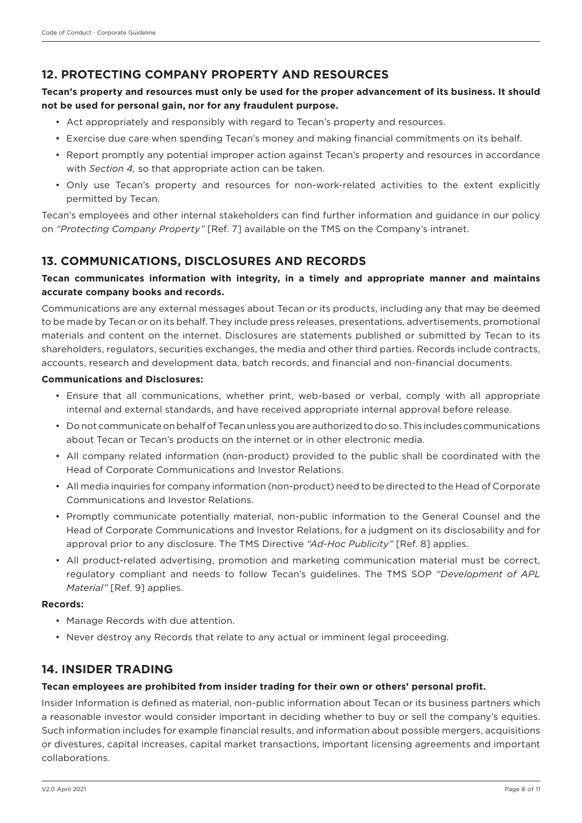## **12. PROTECTING COMPANY PROPERTY AND RESOURCES**

### **Tecan's property and resources must only be used for the proper advancement of its business. It should not be used for personal gain, nor for any fraudulent purpose.**

- Act appropriately and responsibly with regard to Tecan's property and resources.
- Exercise due care when spending Tecan's money and making financial commitments on its behalf.
- Report promptly any potential improper action against Tecan's property and resources in accordance with *Section 4,* so that appropriate action can be taken.
- Only use Tecan's property and resources for non-work-related activities to the extent explicitly permitted by Tecan.

Tecan's employees and other internal stakeholders can find further information and guidance in our policy on *"Protecting Company Property"* [Ref. 7] available on the TMS on the Company's intranet.

# **13. COMMUNICATIONS, DISCLOSURES AND RECORDS**

## **Tecan communicates information with integrity, in a timely and appropriate manner and maintains accurate company books and records.**

Communications are any external messages about Tecan or its products, including any that may be deemed to be made by Tecan or on its behalf. They include press releases, presentations, advertisements, promotional materials and content on the internet. Disclosures are statements published or submitted by Tecan to its shareholders, regulators, securities exchanges, the media and other third parties. Records include contracts, accounts, research and development data, batch records, and financial and non-financial documents.

#### **Communications and Disclosures:**

- Ensure that all communications, whether print, web-based or verbal, comply with all appropriate internal and external standards, and have received appropriate internal approval before release.
- Do not communicate on behalf of Tecan unless you are authorized to do so. This includes communications about Tecan or Tecan's products on the internet or in other electronic media.
- All company related information (non-product) provided to the public shall be coordinated with the Head of Corporate Communications and Investor Relations.
- All media inquiries for company information (non-product) need to be directed to the Head of Corporate Communications and Investor Relations.
- Promptly communicate potentially material, non-public information to the General Counsel and the Head of Corporate Communications and Investor Relations, for a judgment on its disclosability and for approval prior to any disclosure. The TMS Directive *"Ad-Hoc Publicity"* [Ref. 8] applies.
- All product-related advertising, promotion and marketing communication material must be correct, regulatory compliant and needs to follow Tecan's guidelines. The TMS SOP *"Development of APL Material"* [Ref. 9] applies.

#### **Records:**

- Manage Records with due attention.
- Never destroy any Records that relate to any actual or imminent legal proceeding.

## **14. INSIDER TRADING**

#### **Tecan employees are prohibited from insider trading for their own or others' personal profit.**

Insider Information is defined as material, non-public information about Tecan or its business partners which a reasonable investor would consider important in deciding whether to buy or sell the company's equities. Such information includes for example financial results, and information about possible mergers, acquisitions or divestures, capital increases, capital market transactions, important licensing agreements and important collaborations.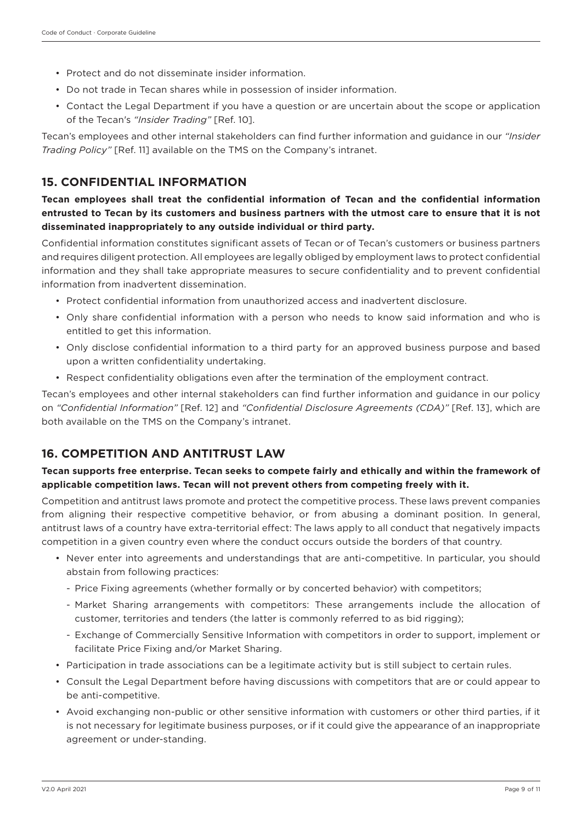- Protect and do not disseminate insider information.
- Do not trade in Tecan shares while in possession of insider information.
- Contact the Legal Department if you have a question or are uncertain about the scope or application of the Tecan's *"Insider Trading"* [Ref. 10].

Tecan's employees and other internal stakeholders can find further information and guidance in our *"Insider Trading Policy"* [Ref. 11] available on the TMS on the Company's intranet.

## **15. CONFIDENTIAL INFORMATION**

**Tecan employees shall treat the confidential information of Tecan and the confidential information entrusted to Tecan by its customers and business partners with the utmost care to ensure that it is not disseminated inappropriately to any outside individual or third party.**

Confidential information constitutes significant assets of Tecan or of Tecan's customers or business partners and requires diligent protection. All employees are legally obliged by employment laws to protect confidential information and they shall take appropriate measures to secure confidentiality and to prevent confidential information from inadvertent dissemination.

- Protect confidential information from unauthorized access and inadvertent disclosure.
- Only share confidential information with a person who needs to know said information and who is entitled to get this information.
- Only disclose confidential information to a third party for an approved business purpose and based upon a written confidentiality undertaking.
- Respect confidentiality obligations even after the termination of the employment contract.

Tecan's employees and other internal stakeholders can find further information and guidance in our policy on *"Confidential Information"* [Ref. 12] and *"Confidential Disclosure Agreements (CDA)"* [Ref. 13], which are both available on the TMS on the Company's intranet.

## **16. COMPETITION AND ANTITRUST LAW**

#### **Tecan supports free enterprise. Tecan seeks to compete fairly and ethically and within the framework of applicable competition laws. Tecan will not prevent others from competing freely with it.**

Competition and antitrust laws promote and protect the competitive process. These laws prevent companies from aligning their respective competitive behavior, or from abusing a dominant position. In general, antitrust laws of a country have extra-territorial effect: The laws apply to all conduct that negatively impacts competition in a given country even where the conduct occurs outside the borders of that country.

- Never enter into agreements and understandings that are anti-competitive. In particular, you should abstain from following practices:
	- Price Fixing agreements (whether formally or by concerted behavior) with competitors;
	- Market Sharing arrangements with competitors: These arrangements include the allocation of customer, territories and tenders (the latter is commonly referred to as bid rigging);
	- Exchange of Commercially Sensitive Information with competitors in order to support, implement or facilitate Price Fixing and/or Market Sharing.
- Participation in trade associations can be a legitimate activity but is still subject to certain rules.
- Consult the Legal Department before having discussions with competitors that are or could appear to be anti-competitive.
- Avoid exchanging non-public or other sensitive information with customers or other third parties, if it is not necessary for legitimate business purposes, or if it could give the appearance of an inappropriate agreement or under-standing.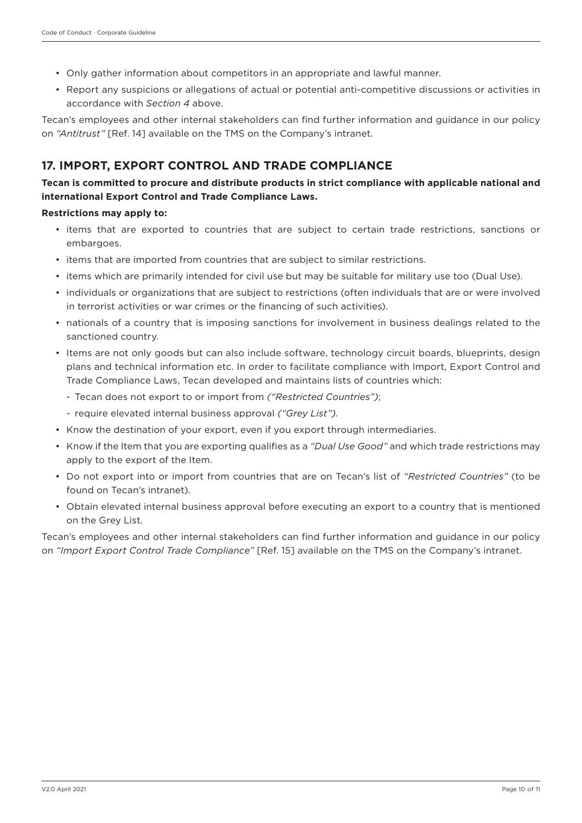- Only gather information about competitors in an appropriate and lawful manner.
- Report any suspicions or allegations of actual or potential anti-competitive discussions or activities in accordance with *Section 4* above.

Tecan's employees and other internal stakeholders can find further information and guidance in our policy on *"Antitrust"* [Ref. 14] available on the TMS on the Company's intranet.

## **17. IMPORT, EXPORT CONTROL AND TRADE COMPLIANCE**

## **Tecan is committed to procure and distribute products in strict compliance with applicable national and international Export Control and Trade Compliance Laws.**

#### **Restrictions may apply to:**

- items that are exported to countries that are subject to certain trade restrictions, sanctions or embargoes.
- items that are imported from countries that are subject to similar restrictions.
- items which are primarily intended for civil use but may be suitable for military use too (Dual Use).
- individuals or organizations that are subject to restrictions (often individuals that are or were involved in terrorist activities or war crimes or the financing of such activities).
- nationals of a country that is imposing sanctions for involvement in business dealings related to the sanctioned country.
- Items are not only goods but can also include software, technology circuit boards, blueprints, design plans and technical information etc. In order to facilitate compliance with Import, Export Control and Trade Compliance Laws, Tecan developed and maintains lists of countries which:
	- Tecan does not export to or import from *("Restricted Countries")*;
	- require elevated internal business approval *("Grey List").*
- Know the destination of your export, even if you export through intermediaries.
- Know if the Item that you are exporting qualifies as a *"Dual Use Good"* and which trade restrictions may apply to the export of the Item.
- Do not export into or import from countries that are on Tecan's list of *"Restricted Countries"* (to be found on Tecan's intranet).
- Obtain elevated internal business approval before executing an export to a country that is mentioned on the Grey List.

Tecan's employees and other internal stakeholders can find further information and guidance in our policy on *"Import Export Control Trade Compliance"* [Ref. 15] available on the TMS on the Company's intranet.